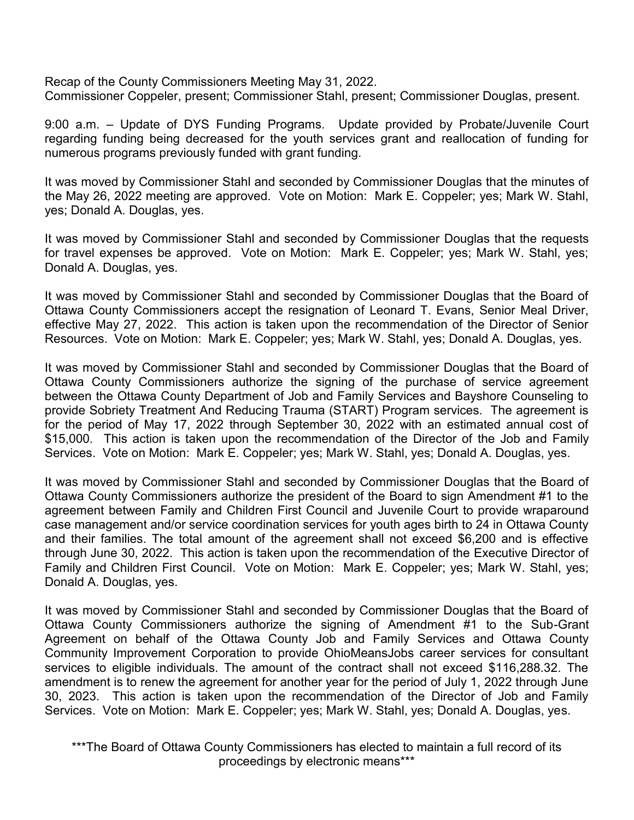Recap of the County Commissioners Meeting May 31, 2022. Commissioner Coppeler, present; Commissioner Stahl, present; Commissioner Douglas, present.

9:00 a.m. – Update of DYS Funding Programs. Update provided by Probate/Juvenile Court regarding funding being decreased for the youth services grant and reallocation of funding for numerous programs previously funded with grant funding.

It was moved by Commissioner Stahl and seconded by Commissioner Douglas that the minutes of the May 26, 2022 meeting are approved. Vote on Motion: Mark E. Coppeler; yes; Mark W. Stahl, yes; Donald A. Douglas, yes.

It was moved by Commissioner Stahl and seconded by Commissioner Douglas that the requests for travel expenses be approved. Vote on Motion: Mark E. Coppeler; yes; Mark W. Stahl, yes; Donald A. Douglas, yes.

It was moved by Commissioner Stahl and seconded by Commissioner Douglas that the Board of Ottawa County Commissioners accept the resignation of Leonard T. Evans, Senior Meal Driver, effective May 27, 2022. This action is taken upon the recommendation of the Director of Senior Resources. Vote on Motion: Mark E. Coppeler; yes; Mark W. Stahl, yes; Donald A. Douglas, yes.

It was moved by Commissioner Stahl and seconded by Commissioner Douglas that the Board of Ottawa County Commissioners authorize the signing of the purchase of service agreement between the Ottawa County Department of Job and Family Services and Bayshore Counseling to provide Sobriety Treatment And Reducing Trauma (START) Program services. The agreement is for the period of May 17, 2022 through September 30, 2022 with an estimated annual cost of \$15,000. This action is taken upon the recommendation of the Director of the Job and Family Services. Vote on Motion: Mark E. Coppeler; yes; Mark W. Stahl, yes; Donald A. Douglas, yes.

It was moved by Commissioner Stahl and seconded by Commissioner Douglas that the Board of Ottawa County Commissioners authorize the president of the Board to sign Amendment #1 to the agreement between Family and Children First Council and Juvenile Court to provide wraparound case management and/or service coordination services for youth ages birth to 24 in Ottawa County and their families. The total amount of the agreement shall not exceed \$6,200 and is effective through June 30, 2022. This action is taken upon the recommendation of the Executive Director of Family and Children First Council. Vote on Motion: Mark E. Coppeler; yes; Mark W. Stahl, yes; Donald A. Douglas, yes.

It was moved by Commissioner Stahl and seconded by Commissioner Douglas that the Board of Ottawa County Commissioners authorize the signing of Amendment #1 to the Sub-Grant Agreement on behalf of the Ottawa County Job and Family Services and Ottawa County Community Improvement Corporation to provide OhioMeansJobs career services for consultant services to eligible individuals. The amount of the contract shall not exceed \$116,288.32. The amendment is to renew the agreement for another year for the period of July 1, 2022 through June 30, 2023. This action is taken upon the recommendation of the Director of Job and Family Services. Vote on Motion: Mark E. Coppeler; yes; Mark W. Stahl, yes; Donald A. Douglas, yes.

\*\*\*The Board of Ottawa County Commissioners has elected to maintain a full record of its proceedings by electronic means\*\*\*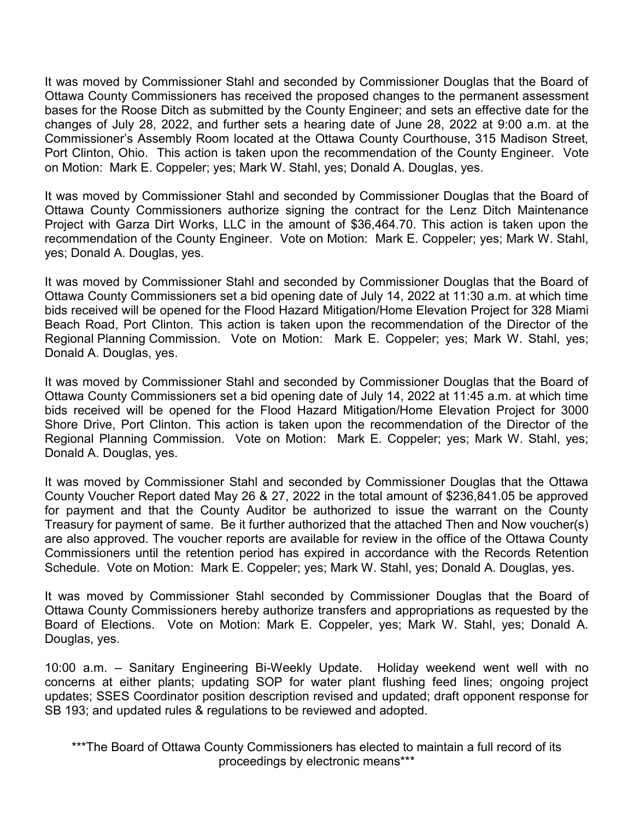It was moved by Commissioner Stahl and seconded by Commissioner Douglas that the Board of Ottawa County Commissioners has received the proposed changes to the permanent assessment bases for the Roose Ditch as submitted by the County Engineer; and sets an effective date for the changes of July 28, 2022, and further sets a hearing date of June 28, 2022 at 9:00 a.m. at the Commissioner's Assembly Room located at the Ottawa County Courthouse, 315 Madison Street, Port Clinton, Ohio. This action is taken upon the recommendation of the County Engineer. Vote on Motion: Mark E. Coppeler; yes; Mark W. Stahl, yes; Donald A. Douglas, yes.

It was moved by Commissioner Stahl and seconded by Commissioner Douglas that the Board of Ottawa County Commissioners authorize signing the contract for the Lenz Ditch Maintenance Project with Garza Dirt Works, LLC in the amount of \$36,464.70. This action is taken upon the recommendation of the County Engineer. Vote on Motion: Mark E. Coppeler; yes; Mark W. Stahl, yes; Donald A. Douglas, yes.

It was moved by Commissioner Stahl and seconded by Commissioner Douglas that the Board of Ottawa County Commissioners set a bid opening date of July 14, 2022 at 11:30 a.m. at which time bids received will be opened for the Flood Hazard Mitigation/Home Elevation Project for 328 Miami Beach Road, Port Clinton. This action is taken upon the recommendation of the Director of the Regional Planning Commission. Vote on Motion: Mark E. Coppeler; yes; Mark W. Stahl, yes; Donald A. Douglas, yes.

It was moved by Commissioner Stahl and seconded by Commissioner Douglas that the Board of Ottawa County Commissioners set a bid opening date of July 14, 2022 at 11:45 a.m. at which time bids received will be opened for the Flood Hazard Mitigation/Home Elevation Project for 3000 Shore Drive, Port Clinton. This action is taken upon the recommendation of the Director of the Regional Planning Commission. Vote on Motion: Mark E. Coppeler; yes; Mark W. Stahl, yes; Donald A. Douglas, yes.

It was moved by Commissioner Stahl and seconded by Commissioner Douglas that the Ottawa County Voucher Report dated May 26 & 27, 2022 in the total amount of \$236,841.05 be approved for payment and that the County Auditor be authorized to issue the warrant on the County Treasury for payment of same. Be it further authorized that the attached Then and Now voucher(s) are also approved. The voucher reports are available for review in the office of the Ottawa County Commissioners until the retention period has expired in accordance with the Records Retention Schedule. Vote on Motion: Mark E. Coppeler; yes; Mark W. Stahl, yes; Donald A. Douglas, yes.

It was moved by Commissioner Stahl seconded by Commissioner Douglas that the Board of Ottawa County Commissioners hereby authorize transfers and appropriations as requested by the Board of Elections. Vote on Motion: Mark E. Coppeler, yes; Mark W. Stahl, yes; Donald A. Douglas, yes.

10:00 a.m. – Sanitary Engineering Bi-Weekly Update. Holiday weekend went well with no concerns at either plants; updating SOP for water plant flushing feed lines; ongoing project updates; SSES Coordinator position description revised and updated; draft opponent response for SB 193; and updated rules & regulations to be reviewed and adopted.

\*\*\*The Board of Ottawa County Commissioners has elected to maintain a full record of its proceedings by electronic means\*\*\*